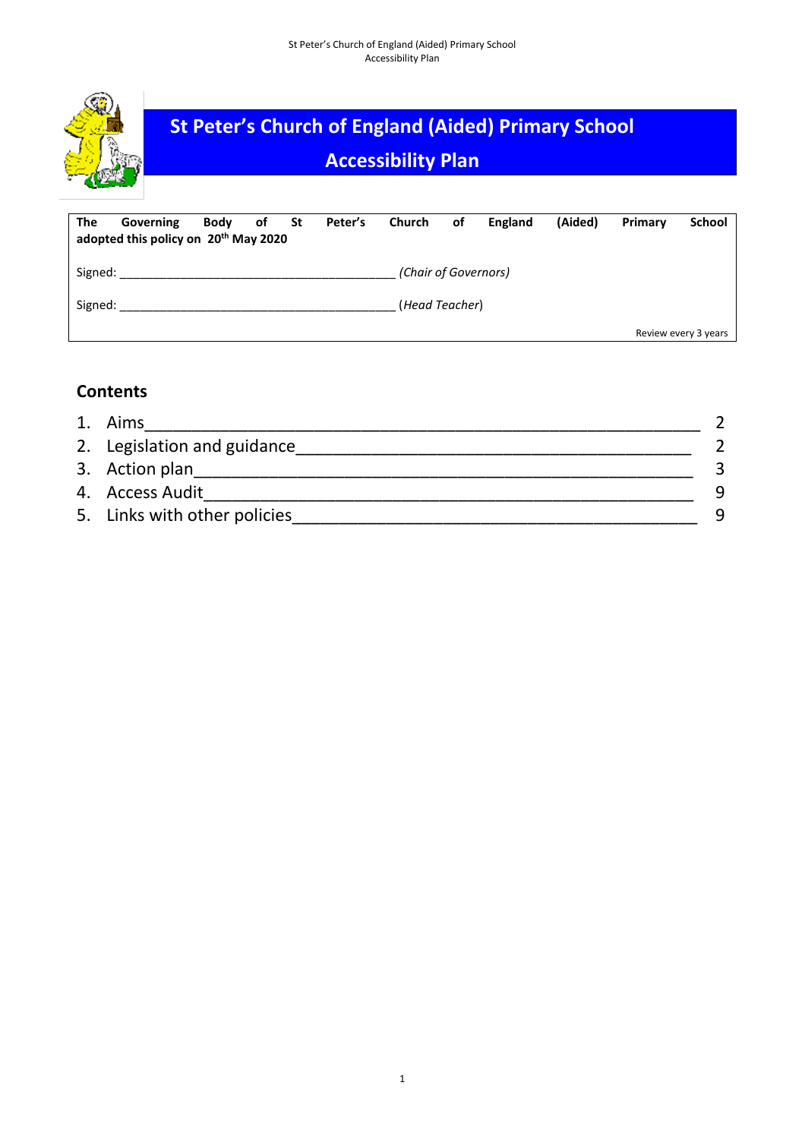

| The     | Governing<br>adopted this policy on 20 <sup>th</sup> May 2020 | Body of St |  | Peter's | Church               | of | England | (Aided) | Primary              | <b>School</b> |
|---------|---------------------------------------------------------------|------------|--|---------|----------------------|----|---------|---------|----------------------|---------------|
| Signed: |                                                               |            |  |         | (Chair of Governors) |    |         |         |                      |               |
| Signed: |                                                               |            |  |         | (Head Teacher)       |    |         |         |                      |               |
|         |                                                               |            |  |         |                      |    |         |         | Review every 3 years |               |

# **Contents**

| 1. Aims                      |  |
|------------------------------|--|
| 2. Legislation and guidance  |  |
| 3. Action plan               |  |
| 4. Access Audit              |  |
| 5. Links with other policies |  |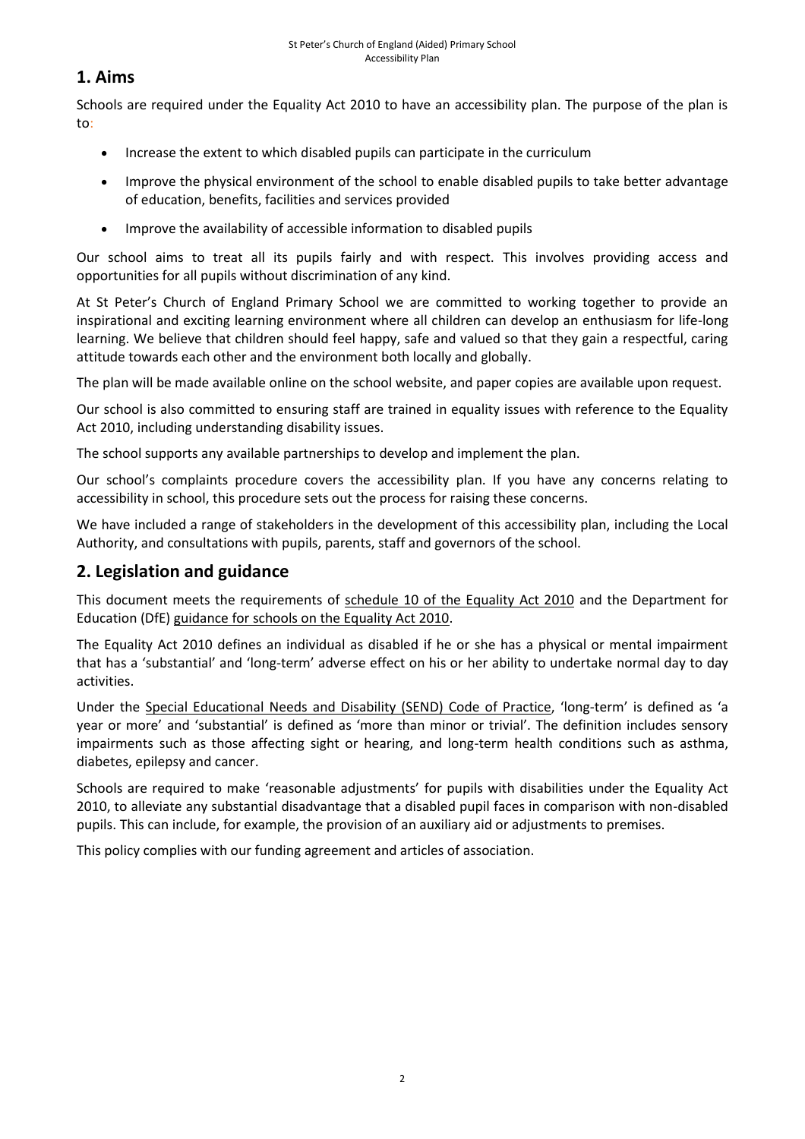# **1. Aims**

Schools are required under the Equality Act 2010 to have an accessibility plan. The purpose of the plan is to:

- Increase the extent to which disabled pupils can participate in the curriculum
- Improve the physical environment of the school to enable disabled pupils to take better advantage of education, benefits, facilities and services provided
- Improve the availability of accessible information to disabled pupils

Our school aims to treat all its pupils fairly and with respect. This involves providing access and opportunities for all pupils without discrimination of any kind.

At St Peter's Church of England Primary School we are committed to working together to provide an inspirational and exciting learning environment where all children can develop an enthusiasm for life-long learning. We believe that children should feel happy, safe and valued so that they gain a respectful, caring attitude towards each other and the environment both locally and globally.

The plan will be made available online on the school website, and paper copies are available upon request.

Our school is also committed to ensuring staff are trained in equality issues with reference to the Equality Act 2010, including understanding disability issues.

The school supports any available partnerships to develop and implement the plan.

Our school's complaints procedure covers the accessibility plan. If you have any concerns relating to accessibility in school, this procedure sets out the process for raising these concerns.

We have included a range of stakeholders in the development of this accessibility plan, including the Local Authority, and consultations with pupils, parents, staff and governors of the school.

# **2. Legislation and guidance**

This document meets the requirements of [schedule 10 of the Equality Act 2010](http://www.legislation.gov.uk/ukpga/2010/15/schedule/10) and the Department for Education (DfE) [guidance for schools on the Equality Act 2010.](https://www.gov.uk/government/publications/equality-act-2010-advice-for-schools)

The Equality Act 2010 defines an individual as disabled if he or she has a physical or mental impairment that has a 'substantial' and 'long-term' adverse effect on his or her ability to undertake normal day to day activities.

Under the [Special Educational Needs and Disability \(SEND\) Code of Practice](https://www.gov.uk/government/publications/send-code-of-practice-0-to-25), 'long-term' is defined as 'a year or more' and 'substantial' is defined as 'more than minor or trivial'. The definition includes sensory impairments such as those affecting sight or hearing, and long-term health conditions such as asthma, diabetes, epilepsy and cancer.

Schools are required to make 'reasonable adjustments' for pupils with disabilities under the Equality Act 2010, to alleviate any substantial disadvantage that a disabled pupil faces in comparison with non-disabled pupils. This can include, for example, the provision of an auxiliary aid or adjustments to premises.

This policy complies with our funding agreement and articles of association.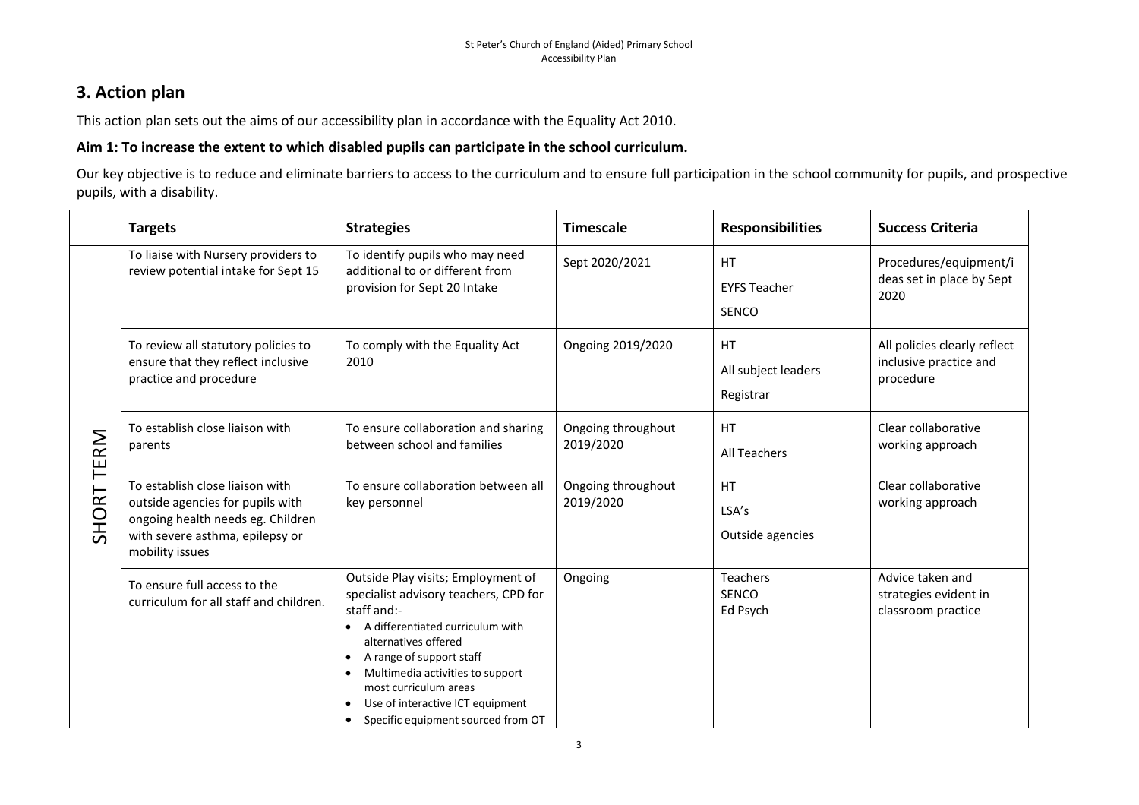# **3. Action plan**

This action plan sets out the aims of our accessibility plan in accordance with the Equality Act 2010.

## **Aim 1: To increase the extent to which disabled pupils can participate in the school curriculum.**

Our key objective is to reduce and eliminate barriers to access to the curriculum and to ensure full participation in the school community for pupils, and prospective pupils, with a disability.

|               | <b>Targets</b>                                                                                                                                                 | <b>Strategies</b>                                                                                                                                                                                                                                                                                                                                                             | <b>Timescale</b>                | <b>Responsibilities</b>                          | <b>Success Criteria</b>                                             |
|---------------|----------------------------------------------------------------------------------------------------------------------------------------------------------------|-------------------------------------------------------------------------------------------------------------------------------------------------------------------------------------------------------------------------------------------------------------------------------------------------------------------------------------------------------------------------------|---------------------------------|--------------------------------------------------|---------------------------------------------------------------------|
| TERM<br>SHORT | To liaise with Nursery providers to<br>review potential intake for Sept 15                                                                                     | To identify pupils who may need<br>additional to or different from<br>provision for Sept 20 Intake                                                                                                                                                                                                                                                                            | Sept 2020/2021                  | <b>HT</b><br><b>EYFS Teacher</b><br><b>SENCO</b> | Procedures/equipment/i<br>deas set in place by Sept<br>2020         |
|               | To review all statutory policies to<br>ensure that they reflect inclusive<br>practice and procedure                                                            | To comply with the Equality Act<br>2010                                                                                                                                                                                                                                                                                                                                       | Ongoing 2019/2020               | <b>HT</b><br>All subject leaders<br>Registrar    | All policies clearly reflect<br>inclusive practice and<br>procedure |
|               | To establish close liaison with<br>parents                                                                                                                     | To ensure collaboration and sharing<br>between school and families                                                                                                                                                                                                                                                                                                            | Ongoing throughout<br>2019/2020 | <b>HT</b><br>All Teachers                        | Clear collaborative<br>working approach                             |
|               | To establish close liaison with<br>outside agencies for pupils with<br>ongoing health needs eg. Children<br>with severe asthma, epilepsy or<br>mobility issues | To ensure collaboration between all<br>key personnel                                                                                                                                                                                                                                                                                                                          | Ongoing throughout<br>2019/2020 | <b>HT</b><br>LSA's<br>Outside agencies           | Clear collaborative<br>working approach                             |
|               | To ensure full access to the<br>curriculum for all staff and children.                                                                                         | Outside Play visits; Employment of<br>specialist advisory teachers, CPD for<br>staff and:-<br>A differentiated curriculum with<br>alternatives offered<br>A range of support staff<br>$\bullet$<br>Multimedia activities to support<br>$\bullet$<br>most curriculum areas<br>Use of interactive ICT equipment<br>$\bullet$<br>Specific equipment sourced from OT<br>$\bullet$ | Ongoing                         | <b>Teachers</b><br><b>SENCO</b><br>Ed Psych      | Advice taken and<br>strategies evident in<br>classroom practice     |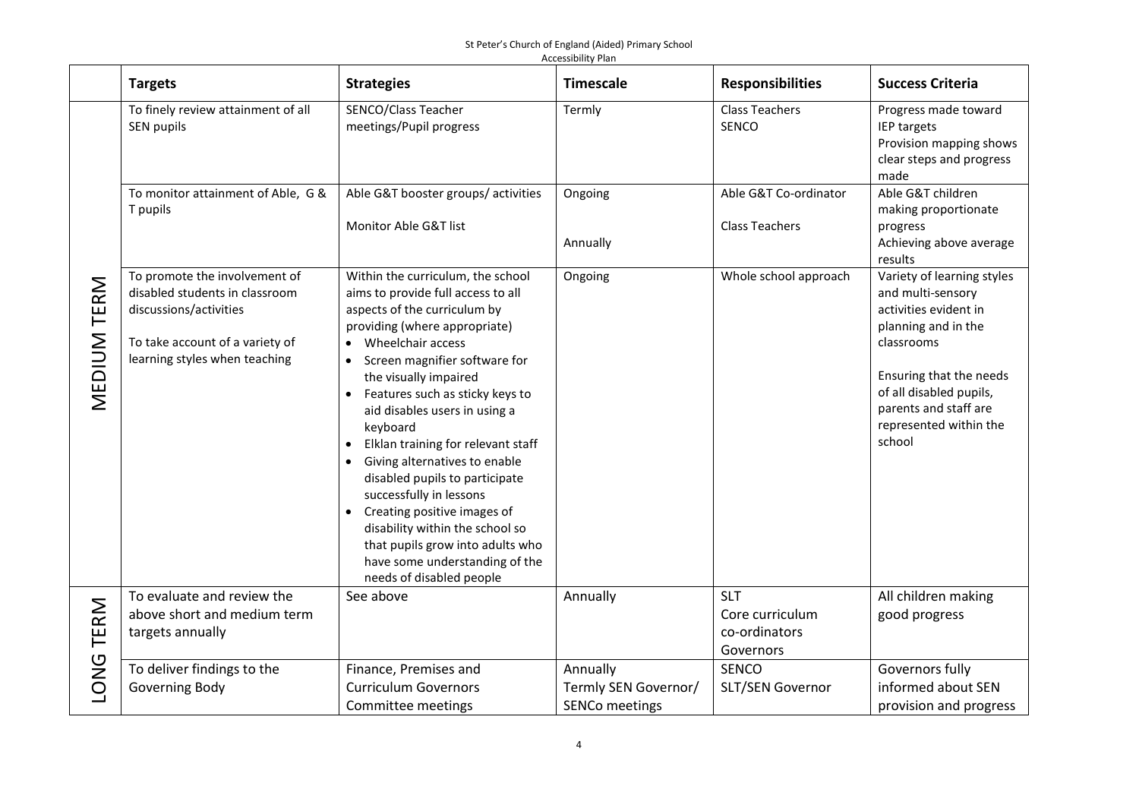|             | <b>Targets</b>                                                                                                                                                | <b>Strategies</b>                                                                                                                                                                                                                                                                                                                                                                                                                                                                                                                                                                                               | <b>Timescale</b>                                          | <b>Responsibilities</b>                                     | <b>Success Criteria</b>                                                                                                                                                                                                          |
|-------------|---------------------------------------------------------------------------------------------------------------------------------------------------------------|-----------------------------------------------------------------------------------------------------------------------------------------------------------------------------------------------------------------------------------------------------------------------------------------------------------------------------------------------------------------------------------------------------------------------------------------------------------------------------------------------------------------------------------------------------------------------------------------------------------------|-----------------------------------------------------------|-------------------------------------------------------------|----------------------------------------------------------------------------------------------------------------------------------------------------------------------------------------------------------------------------------|
|             | To finely review attainment of all<br>SEN pupils                                                                                                              | SENCO/Class Teacher<br>meetings/Pupil progress                                                                                                                                                                                                                                                                                                                                                                                                                                                                                                                                                                  | Termly                                                    | <b>Class Teachers</b><br>SENCO                              | Progress made toward<br>IEP targets<br>Provision mapping shows<br>clear steps and progress<br>made                                                                                                                               |
|             | To monitor attainment of Able, G &<br>T pupils                                                                                                                | Able G&T booster groups/ activities<br>Monitor Able G&T list                                                                                                                                                                                                                                                                                                                                                                                                                                                                                                                                                    | Ongoing<br>Annually                                       | Able G&T Co-ordinator<br><b>Class Teachers</b>              | Able G&T children<br>making proportionate<br>progress<br>Achieving above average<br>results                                                                                                                                      |
| MEDIUM TERM | To promote the involvement of<br>disabled students in classroom<br>discussions/activities<br>To take account of a variety of<br>learning styles when teaching | Within the curriculum, the school<br>aims to provide full access to all<br>aspects of the curriculum by<br>providing (where appropriate)<br>Wheelchair access<br>Screen magnifier software for<br>the visually impaired<br>Features such as sticky keys to<br>aid disables users in using a<br>keyboard<br>Elklan training for relevant staff<br>Giving alternatives to enable<br>disabled pupils to participate<br>successfully in lessons<br>Creating positive images of<br>disability within the school so<br>that pupils grow into adults who<br>have some understanding of the<br>needs of disabled people | Ongoing                                                   | Whole school approach                                       | Variety of learning styles<br>and multi-sensory<br>activities evident in<br>planning and in the<br>classrooms<br>Ensuring that the needs<br>of all disabled pupils,<br>parents and staff are<br>represented within the<br>school |
| TERM        | To evaluate and review the<br>above short and medium term<br>targets annually                                                                                 | See above                                                                                                                                                                                                                                                                                                                                                                                                                                                                                                                                                                                                       | Annually                                                  | <b>SLT</b><br>Core curriculum<br>co-ordinators<br>Governors | All children making<br>good progress                                                                                                                                                                                             |
| <b>LONG</b> | To deliver findings to the<br>Governing Body                                                                                                                  | Finance, Premises and<br><b>Curriculum Governors</b><br>Committee meetings                                                                                                                                                                                                                                                                                                                                                                                                                                                                                                                                      | Annually<br>Termly SEN Governor/<br><b>SENCo meetings</b> | <b>SENCO</b><br>SLT/SEN Governor                            | Governors fully<br>informed about SEN<br>provision and progress                                                                                                                                                                  |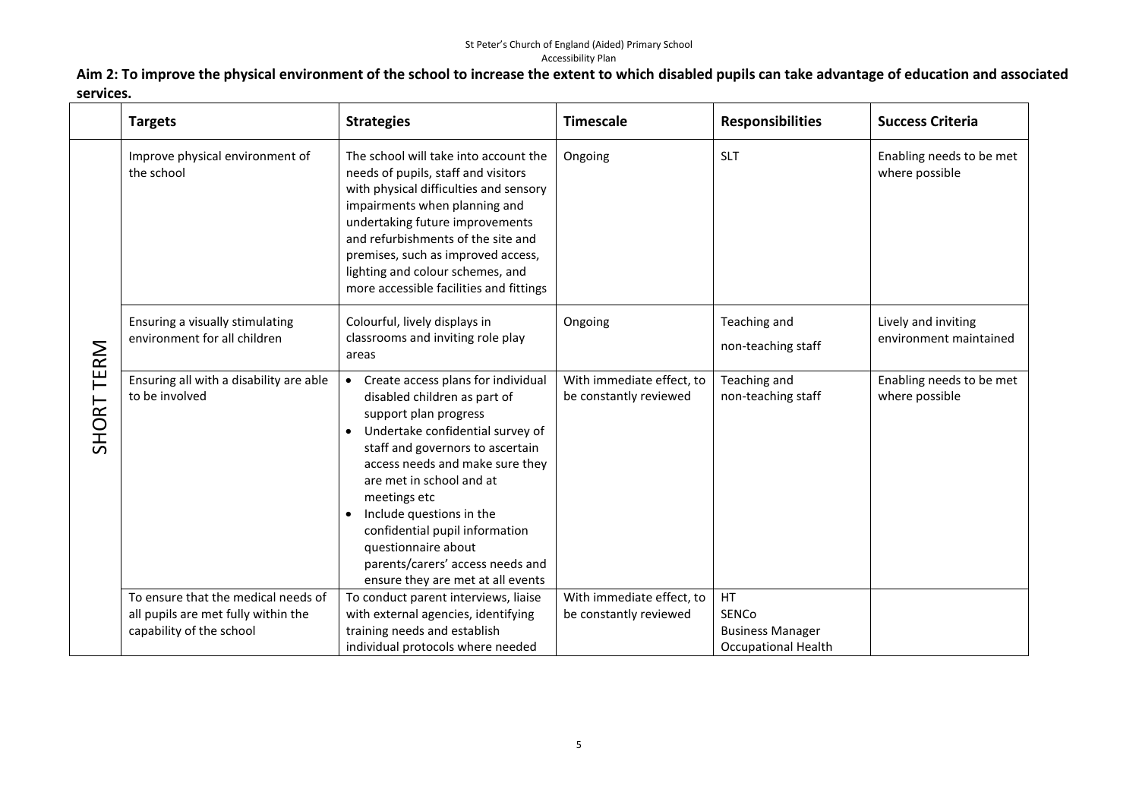**Aim 2: To improve the physical environment of the school to increase the extent to which disabled pupils can take advantage of education and associated services.**

|            | <b>Targets</b>                                                                                         | <b>Strategies</b>                                                                                                                                                                                                                                                                                                                                                                                                                          | <b>Timescale</b>                                    | <b>Responsibilities</b>                                                     | <b>Success Criteria</b>                       |
|------------|--------------------------------------------------------------------------------------------------------|--------------------------------------------------------------------------------------------------------------------------------------------------------------------------------------------------------------------------------------------------------------------------------------------------------------------------------------------------------------------------------------------------------------------------------------------|-----------------------------------------------------|-----------------------------------------------------------------------------|-----------------------------------------------|
| SHORT TERM | Improve physical environment of<br>the school                                                          | The school will take into account the<br>needs of pupils, staff and visitors<br>with physical difficulties and sensory<br>impairments when planning and<br>undertaking future improvements<br>and refurbishments of the site and<br>premises, such as improved access,<br>lighting and colour schemes, and<br>more accessible facilities and fittings                                                                                      | Ongoing                                             | <b>SLT</b>                                                                  | Enabling needs to be met<br>where possible    |
|            | Ensuring a visually stimulating<br>environment for all children                                        | Colourful, lively displays in<br>classrooms and inviting role play<br>areas                                                                                                                                                                                                                                                                                                                                                                | Ongoing                                             | Teaching and<br>non-teaching staff                                          | Lively and inviting<br>environment maintained |
|            | Ensuring all with a disability are able<br>to be involved                                              | Create access plans for individual<br>$\bullet$<br>disabled children as part of<br>support plan progress<br>Undertake confidential survey of<br>$\bullet$<br>staff and governors to ascertain<br>access needs and make sure they<br>are met in school and at<br>meetings etc<br>Include questions in the<br>confidential pupil information<br>questionnaire about<br>parents/carers' access needs and<br>ensure they are met at all events | With immediate effect, to<br>be constantly reviewed | Teaching and<br>non-teaching staff                                          | Enabling needs to be met<br>where possible    |
|            | To ensure that the medical needs of<br>all pupils are met fully within the<br>capability of the school | To conduct parent interviews, liaise<br>with external agencies, identifying<br>training needs and establish<br>individual protocols where needed                                                                                                                                                                                                                                                                                           | With immediate effect, to<br>be constantly reviewed | HT<br><b>SENCo</b><br><b>Business Manager</b><br><b>Occupational Health</b> |                                               |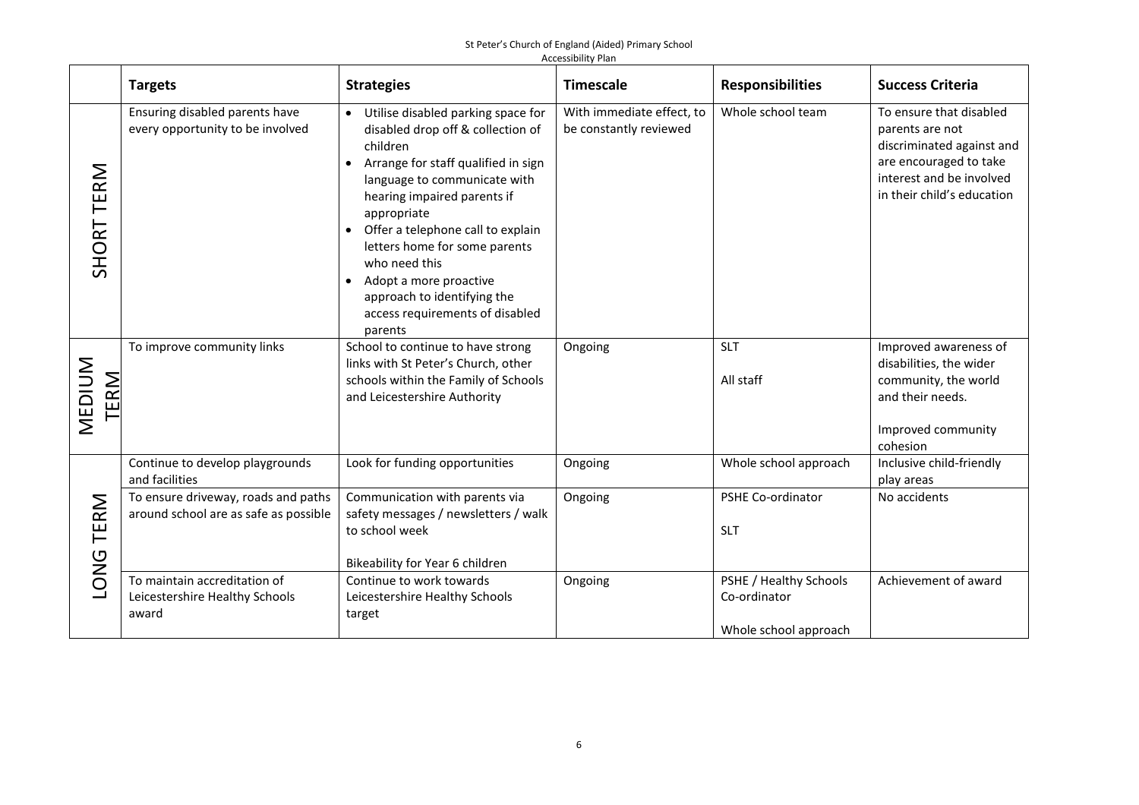|                       | <b>Targets</b>                                                               | <b>Strategies</b>                                                                                                                                                                                                                                                                                                                                                                                                                | <b>Timescale</b>                                    | <b>Responsibilities</b>                                         | <b>Success Criteria</b>                                                                                                                                     |
|-----------------------|------------------------------------------------------------------------------|----------------------------------------------------------------------------------------------------------------------------------------------------------------------------------------------------------------------------------------------------------------------------------------------------------------------------------------------------------------------------------------------------------------------------------|-----------------------------------------------------|-----------------------------------------------------------------|-------------------------------------------------------------------------------------------------------------------------------------------------------------|
| SHORT TERM            | Ensuring disabled parents have<br>every opportunity to be involved           | Utilise disabled parking space for<br>$\bullet$<br>disabled drop off & collection of<br>children<br>Arrange for staff qualified in sign<br>language to communicate with<br>hearing impaired parents if<br>appropriate<br>Offer a telephone call to explain<br>letters home for some parents<br>who need this<br>Adopt a more proactive<br>$\bullet$<br>approach to identifying the<br>access requirements of disabled<br>parents | With immediate effect, to<br>be constantly reviewed | Whole school team                                               | To ensure that disabled<br>parents are not<br>discriminated against and<br>are encouraged to take<br>interest and be involved<br>in their child's education |
| MEDIUM<br><b>TERM</b> | To improve community links                                                   | School to continue to have strong<br>links with St Peter's Church, other<br>schools within the Family of Schools<br>and Leicestershire Authority                                                                                                                                                                                                                                                                                 | Ongoing                                             | <b>SLT</b><br>All staff                                         | Improved awareness of<br>disabilities, the wider<br>community, the world<br>and their needs.<br>Improved community<br>cohesion                              |
|                       | Continue to develop playgrounds<br>and facilities                            | Look for funding opportunities                                                                                                                                                                                                                                                                                                                                                                                                   | Ongoing                                             | Whole school approach                                           | Inclusive child-friendly<br>play areas                                                                                                                      |
| TERM<br><b>ONG</b>    | To ensure driveway, roads and paths<br>around school are as safe as possible | Communication with parents via<br>safety messages / newsletters / walk<br>to school week<br>Bikeability for Year 6 children                                                                                                                                                                                                                                                                                                      | Ongoing                                             | PSHE Co-ordinator<br><b>SLT</b>                                 | No accidents                                                                                                                                                |
|                       | To maintain accreditation of<br>Leicestershire Healthy Schools<br>award      | Continue to work towards<br>Leicestershire Healthy Schools<br>target                                                                                                                                                                                                                                                                                                                                                             | Ongoing                                             | PSHE / Healthy Schools<br>Co-ordinator<br>Whole school approach | Achievement of award                                                                                                                                        |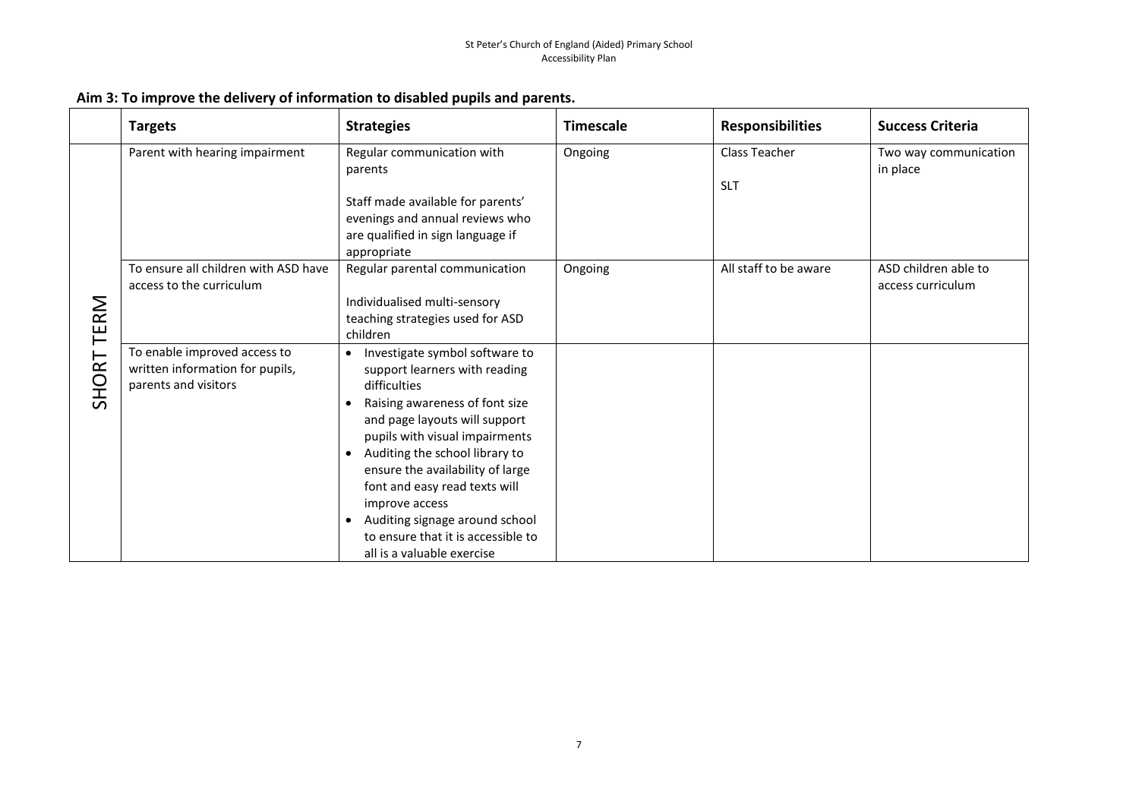|                  | <b>Targets</b>                                                                          | <b>Strategies</b>                                                                                                                                                                                                                                                                                                                                                                                                                                                       | <b>Timescale</b> | <b>Responsibilities</b>     | <b>Success Criteria</b>                   |
|------------------|-----------------------------------------------------------------------------------------|-------------------------------------------------------------------------------------------------------------------------------------------------------------------------------------------------------------------------------------------------------------------------------------------------------------------------------------------------------------------------------------------------------------------------------------------------------------------------|------------------|-----------------------------|-------------------------------------------|
| RM<br>Έ<br>SHORT | Parent with hearing impairment                                                          | Regular communication with<br>parents<br>Staff made available for parents'<br>evenings and annual reviews who<br>are qualified in sign language if<br>appropriate                                                                                                                                                                                                                                                                                                       | Ongoing          | Class Teacher<br><b>SLT</b> | Two way communication<br>in place         |
|                  | To ensure all children with ASD have<br>access to the curriculum                        | Regular parental communication<br>Individualised multi-sensory<br>teaching strategies used for ASD<br>children                                                                                                                                                                                                                                                                                                                                                          | Ongoing          | All staff to be aware       | ASD children able to<br>access curriculum |
|                  | To enable improved access to<br>written information for pupils,<br>parents and visitors | Investigate symbol software to<br>$\bullet$<br>support learners with reading<br>difficulties<br>Raising awareness of font size<br>$\bullet$<br>and page layouts will support<br>pupils with visual impairments<br>Auditing the school library to<br>$\bullet$<br>ensure the availability of large<br>font and easy read texts will<br>improve access<br>Auditing signage around school<br>$\bullet$<br>to ensure that it is accessible to<br>all is a valuable exercise |                  |                             |                                           |

### **Aim 3: To improve the delivery of information to disabled pupils and parents.**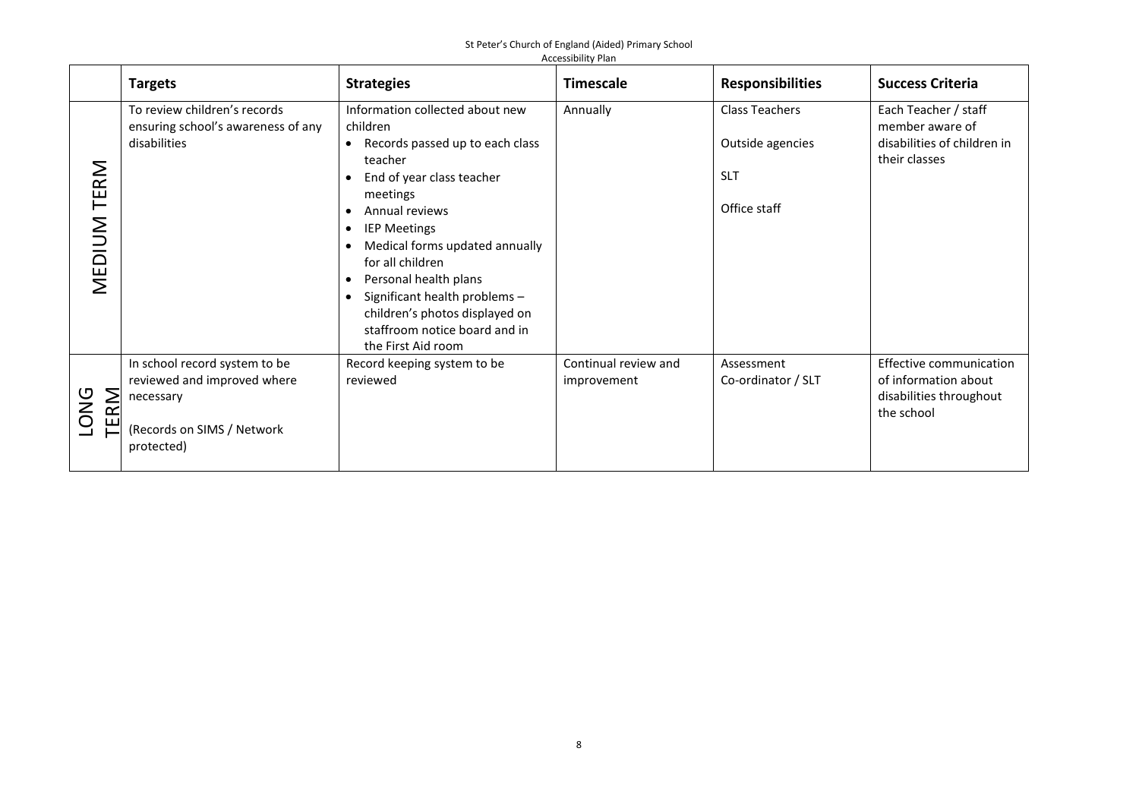|                       | <b>Targets</b>                                                                                                        | <b>Strategies</b>                                                                                                                                                                                                                                                                                                                                                                                                                                                               | <b>Timescale</b>                    | <b>Responsibilities</b>                                                 | <b>Success Criteria</b>                                                                  |  |  |
|-----------------------|-----------------------------------------------------------------------------------------------------------------------|---------------------------------------------------------------------------------------------------------------------------------------------------------------------------------------------------------------------------------------------------------------------------------------------------------------------------------------------------------------------------------------------------------------------------------------------------------------------------------|-------------------------------------|-------------------------------------------------------------------------|------------------------------------------------------------------------------------------|--|--|
| TERM<br>MEDIUM        | To review children's records<br>ensuring school's awareness of any<br>disabilities                                    | Information collected about new<br>children<br>Records passed up to each class<br>$\bullet$<br>teacher<br>End of year class teacher<br>$\bullet$<br>meetings<br>Annual reviews<br>$\bullet$<br><b>IEP Meetings</b><br>$\bullet$<br>Medical forms updated annually<br>$\bullet$<br>for all children<br>Personal health plans<br>$\bullet$<br>Significant health problems -<br>$\bullet$<br>children's photos displayed on<br>staffroom notice board and in<br>the First Aid room | Annually                            | <b>Class Teachers</b><br>Outside agencies<br><b>SLT</b><br>Office staff | Each Teacher / staff<br>member aware of<br>disabilities of children in<br>their classes  |  |  |
| RM<br><b>DNG</b><br>ш | In school record system to be<br>reviewed and improved where<br>necessary<br>(Records on SIMS / Network<br>protected) | Record keeping system to be<br>reviewed                                                                                                                                                                                                                                                                                                                                                                                                                                         | Continual review and<br>improvement | Assessment<br>Co-ordinator / SLT                                        | Effective communication<br>of information about<br>disabilities throughout<br>the school |  |  |